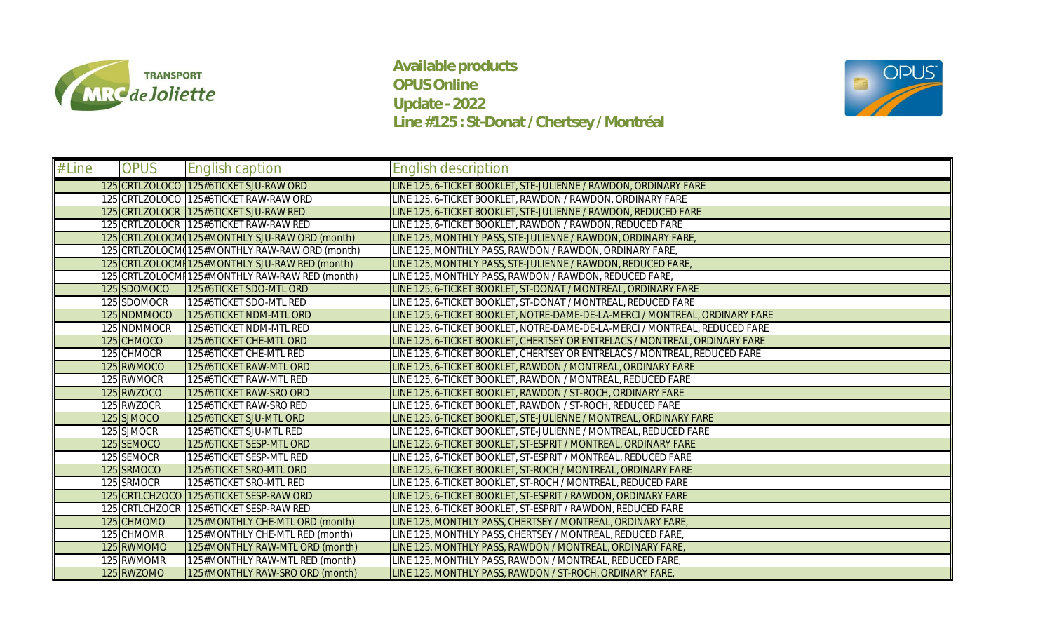

**Available products OPUS Online Update - 2022 Line #125 : St-Donat / Chertsey / Montréal**



| # Line | <b>OPUS</b> | English caption                                 | English description                                                          |
|--------|-------------|-------------------------------------------------|------------------------------------------------------------------------------|
|        |             | 125 CRTLZOLOCO 125#6TICKET SJU-RAW ORD          | LINE 125, 6-TICKET BOOKLET, STE-JULIENNE / RAWDON, ORDINARY FARE             |
|        |             | 125 CRTLZOLOCO 125#6TICKET RAW-RAW ORD          | LINE 125, 6-TICKET BOOKLET, RAWDON / RAWDON, ORDINARY FARE                   |
|        |             | 125 CRTLZOLOCR 125#6TICKET SJU-RAW RED          | LINE 125, 6-TICKET BOOKLET, STE-JULIENNE / RAWDON, REDUCED FARE              |
|        |             | 125 CRTLZOLOCR 125#6TICKET RAW-RAW RED          | LINE 125, 6-TICKET BOOKLET, RAWDON / RAWDON, REDUCED FARE                    |
|        |             | 125 CRTLZOLOCM 125#MONTHLY SJU-RAW ORD (month)  | LINE 125, MONTHLY PASS, STE-JULIENNE / RAWDON, ORDINARY FARE                 |
|        |             | 125 CRTLZOLOCM 125#MONTHLY RAW-RAW ORD (month)  | LINE 125, MONTHLY PASS, RAWDON / RAWDON, ORDINARY FARE                       |
|        |             | 125 CRTLZOLOCMI 125#MONTHLY SJU-RAW RED (month) | LINE 125, MONTHLY PASS, STE-JULIENNE / RAWDON, REDUCED FARE,                 |
|        |             | 125 CRTLZOLOCMI 125#MONTHLY RAW-RAW RED (month) | LINE 125, MONTHLY PASS, RAWDON / RAWDON, REDUCED FARE,                       |
|        | 125 SDOMOCO | 125#6TICKET SDO-MTL ORD                         | LINE 125, 6-TICKET BOOKLET, ST-DONAT / MONTREAL, ORDINARY FARE               |
|        | 125 SDOMOCR | 125#6TICKET SDO-MTL RED                         | LINE 125, 6-TICKET BOOKLET, ST-DONAT / MONTREAL, REDUCED FARE                |
|        | 125 NDMMOCO | 125#6TICKET NDM-MTL ORD                         | LINE 125, 6-TICKET BOOKLET, NOTRE-DAME-DE-LA-MERCI / MONTREAL, ORDINARY FARE |
|        | 125 NDMMOCR | 125#6TICKET NDM-MTL RED                         | LINE 125, 6-TICKET BOOKLET, NOTRE-DAME-DE-LA-MERCI / MONTREAL, REDUCED FARE  |
|        | 125 CHMOCO  | 125#6TICKET CHE-MTL ORD                         | LINE 125, 6-TICKET BOOKLET, CHERTSEY OR ENTRELACS / MONTREAL, ORDINARY FARE  |
|        | 125 CHMOCR  | 125#6TICKET CHE-MTL RED                         | LINE 125, 6-TICKET BOOKLET, CHERTSEY OR ENTRELACS / MONTREAL, REDUCED FARE   |
|        | 125 RWMOCO  | 125#6TICKET RAW-MTL ORD                         | LINE 125, 6-TICKET BOOKLET, RAWDON / MONTREAL, ORDINARY FARE                 |
|        | 125 RWMOCR  | 125#6TICKET RAW-MTL RED                         | LINE 125, 6-TICKET BOOKLET, RAWDON / MONTREAL, REDUCED FARE                  |
|        | 125 RWZOCO  | 125#6TICKET RAW-SRO ORD                         | LINE 125, 6-TICKET BOOKLET, RAWDON / ST-ROCH, ORDINARY FARE                  |
|        | 125 RWZOCR  | 125#6TICKET RAW-SRO RED                         | LINE 125, 6-TICKET BOOKLET, RAWDON / ST-ROCH, REDUCED FARE                   |
|        | 125 SJMOCO  | 125#6TICKET SJU-MTL ORD                         | LINE 125, 6-TICKET BOOKLET, STE-JULIENNE / MONTREAL, ORDINARY FARE           |
|        | 125 SJMOCR  | 125#6TICKET SJU-MTL RED                         | LINE 125, 6-TICKET BOOKLET, STE-JULIENNE / MONTREAL, REDUCED FARE            |
|        | 125 SEMOCO  | 125#6TICKET SESP-MTL ORD                        | LINE 125, 6-TICKET BOOKLET, ST-ESPRIT / MONTREAL, ORDINARY FARE              |
|        | 125 SEMOCR  | 125#6TICKET SESP-MTL RED                        | LINE 125, 6-TICKET BOOKLET, ST-ESPRIT / MONTREAL, REDUCED FARE               |
|        | 125 SRMOCO  | 125#6TICKET SRO-MTL ORD                         | LINE 125, 6-TICKET BOOKLET, ST-ROCH / MONTREAL, ORDINARY FARE                |
|        | 125 SRMOCR  | 125#6TICKET SRO-MTL RED                         | LINE 125, 6-TICKET BOOKLET, ST-ROCH / MONTREAL, REDUCED FARE                 |
|        |             | 125 CRTLCHZOCO 125#6TICKET SESP-RAW ORD         | LINE 125, 6-TICKET BOOKLET, ST-ESPRIT / RAWDON, ORDINARY FARE                |
|        |             | 125 CRTLCHZOCR 125#6TICKET SESP-RAW RED         | LINE 125, 6-TICKET BOOKLET, ST-ESPRIT / RAWDON, REDUCED FARE                 |
|        | 125 CHMOMO  | 125#MONTHLY CHE-MTL ORD (month)                 | LINE 125, MONTHLY PASS, CHERTSEY / MONTREAL, ORDINARY FARE,                  |
|        | 125 CHMOMR  | 125#MONTHLY CHE-MTL RED (month)                 | LINE 125, MONTHLY PASS, CHERTSEY / MONTREAL, REDUCED FARE                    |
|        | 125 RWMOMO  | 125#MONTHLY RAW-MTL ORD (month)                 | LINE 125, MONTHLY PASS, RAWDON / MONTREAL, ORDINARY FARE,                    |
|        | 125 RWMOMR  | 125#MONTHLY RAW-MTL RED (month)                 | LINE 125, MONTHLY PASS, RAWDON / MONTREAL, REDUCED FARE                      |
|        | 125 RWZOMO  | 125#MONTHLY RAW-SRO ORD (month)                 | LINE 125, MONTHLY PASS, RAWDON / ST-ROCH, ORDINARY FARE                      |